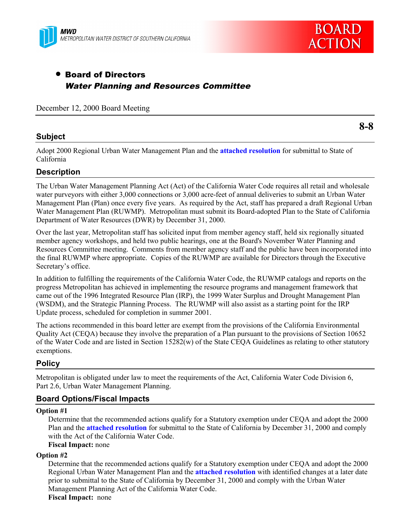



# • Board of Directors Water Planning and Resources Committee

December 12, 2000 Board Meeting

## **Subject**

**8-8**

Adopt 2000 Regional Urban Water Management Plan and the **attached resolution** for submittal to State of California

## **Description**

The Urban Water Management Planning Act (Act) of the California Water Code requires all retail and wholesale water purveyors with either 3,000 connections or 3,000 acre-feet of annual deliveries to submit an Urban Water Management Plan (Plan) once every five years. As required by the Act, staff has prepared a draft Regional Urban Water Management Plan (RUWMP). Metropolitan must submit its Board-adopted Plan to the State of California Department of Water Resources (DWR) by December 31, 2000.

Over the last year, Metropolitan staff has solicited input from member agency staff, held six regionally situated member agency workshops, and held two public hearings, one at the Board's November Water Planning and Resources Committee meeting. Comments from member agency staff and the public have been incorporated into the final RUWMP where appropriate. Copies of the RUWMP are available for Directors through the Executive Secretary's office.

In addition to fulfilling the requirements of the California Water Code, the RUWMP catalogs and reports on the progress Metropolitan has achieved in implementing the resource programs and management framework that came out of the 1996 Integrated Resource Plan (IRP), the 1999 Water Surplus and Drought Management Plan (WSDM), and the Strategic Planning Process. The RUWMP will also assist as a starting point for the IRP Update process, scheduled for completion in summer 2001.

The actions recommended in this board letter are exempt from the provisions of the California Environmental Quality Act (CEQA) because they involve the preparation of a Plan pursuant to the provisions of Section 10652 of the Water Code and are listed in Section 15282(w) of the State CEQA Guidelines as relating to other statutory exemptions.

## **Policy**

Metropolitan is obligated under law to meet the requirements of the Act, California Water Code Division 6, Part 2.6, Urban Water Management Planning.

### **Board Options/Fiscal Impacts**

#### **Option #1**

Determine that the recommended actions qualify for a Statutory exemption under CEQA and adopt the 2000 Plan and the **attached resolution** for submittal to the State of California by December 31, 2000 and comply with the Act of the California Water Code.

### **Fiscal Impact:** none

### **Option #2**

Determine that the recommended actions qualify for a Statutory exemption under CEQA and adopt the 2000 Regional Urban Water Management Plan and the **attached resolution** with identified changes at a later date prior to submittal to the State of California by December 31, 2000 and comply with the Urban Water Management Planning Act of the California Water Code. **Fiscal Impact:** none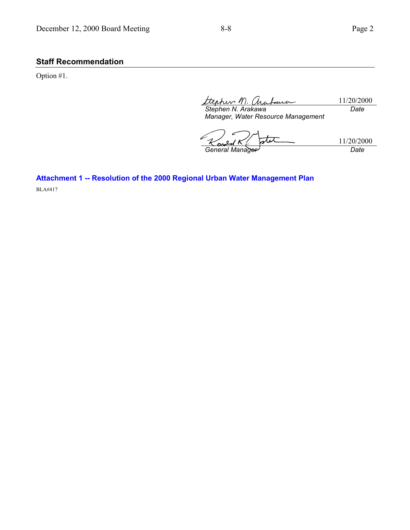# **Staff Recommendation**

Option #1.

ttepher M. are 11/20/2000 *Date*

*Stephen N. Arakawa Manager, Water Resource Management*

stet 11/20/2000<br>Date *General Manager* 

**Attachment 1 -- Resolution of the 2000 Regional Urban Water Management Plan** BLA#417